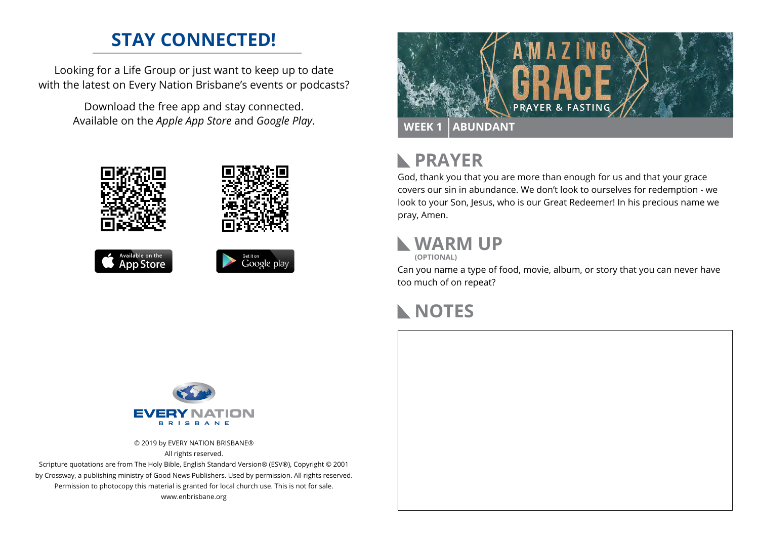#### **STAY CONNECTED!**

Looking for a Life Group or just want to keep up to date with the latest on Every Nation Brisbane's events or podcasts?

> Download the free app and stay connected. Available on the *Apple App Store* and *Google Play*.











# **RAYER**

God, thank you that you are more than enough for us and that your grace covers our sin in abundance. We don't look to ourselves for redemption - we look to your Son, Jesus, who is our Great Redeemer! In his precious name we pray, Amen.

#### **WARM UP**

**(OPTIONAL)**

Can you name a type of food, movie, album, or story that you can never have too much of on repeat?

### **NOTES**



© 2019 by EVERY NATION BRISBANE® All rights reserved.

Scripture quotations are from The Holy Bible, English Standard Version® (ESV®), Copyright © 2001 by Crossway, a publishing ministry of Good News Publishers. Used by permission. All rights reserved. Permission to photocopy this material is granted for local church use. This is not for sale. www.enbrisbane.org